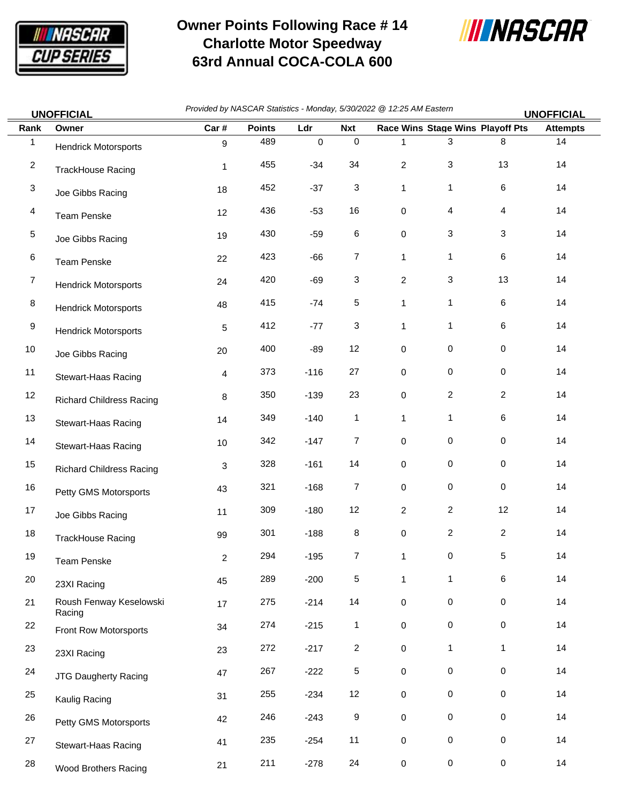

## **Owner Points Following Race # 14 Charlotte Motor Speedway 63rd Annual COCA-COLA 600**



| <b>UNOFFICIAL</b> |                                   | Provided by NASCAR Statistics - Monday, 5/30/2022 @ 12:25 AM Eastern<br><b>UNOFFICIAL</b> |               |           |                |                     |                     |                                  |                 |  |
|-------------------|-----------------------------------|-------------------------------------------------------------------------------------------|---------------|-----------|----------------|---------------------|---------------------|----------------------------------|-----------------|--|
| Rank              | Owner                             | Car#                                                                                      | <b>Points</b> | Ldr       | <b>Nxt</b>     |                     |                     | Race Wins Stage Wins Playoff Pts | <b>Attempts</b> |  |
| $\mathbf{1}$      | <b>Hendrick Motorsports</b>       | 9                                                                                         | 489           | $\pmb{0}$ | $\mathbf 0$    | 1                   | 3                   | 8                                | 14              |  |
| $\overline{c}$    | <b>TrackHouse Racing</b>          | 1                                                                                         | 455           | $-34$     | 34             | $\overline{c}$      | 3                   | 13                               | 14              |  |
| 3                 | Joe Gibbs Racing                  | 18                                                                                        | 452           | $-37$     | 3              | $\mathbf{1}$        | 1                   | 6                                | 14              |  |
| 4                 | <b>Team Penske</b>                | 12                                                                                        | 436           | $-53$     | 16             | 0                   | 4                   | 4                                | 14              |  |
| 5                 | Joe Gibbs Racing                  | 19                                                                                        | 430           | $-59$     | 6              | 0                   | 3                   | 3                                | 14              |  |
| 6                 | Team Penske                       | 22                                                                                        | 423           | $-66$     | $\overline{7}$ | 1                   | 1                   | $\,6$                            | 14              |  |
| $\overline{7}$    | <b>Hendrick Motorsports</b>       | 24                                                                                        | 420           | $-69$     | 3              | $\overline{c}$      | 3                   | 13                               | 14              |  |
| 8                 | <b>Hendrick Motorsports</b>       | 48                                                                                        | 415           | $-74$     | 5              | 1                   | 1                   | 6                                | 14              |  |
| 9                 | <b>Hendrick Motorsports</b>       | 5                                                                                         | 412           | $-77$     | 3              | 1                   | 1                   | 6                                | 14              |  |
| 10                | Joe Gibbs Racing                  | 20                                                                                        | 400           | $-89$     | 12             | 0                   | $\mathsf{O}\xspace$ | $\pmb{0}$                        | 14              |  |
| 11                | Stewart-Haas Racing               | 4                                                                                         | 373           | $-116$    | $27\,$         | 0                   | 0                   | $\mathbf 0$                      | 14              |  |
| 12                | <b>Richard Childress Racing</b>   | 8                                                                                         | 350           | $-139$    | 23             | 0                   | $\overline{c}$      | $\overline{c}$                   | 14              |  |
| 13                | Stewart-Haas Racing               | 14                                                                                        | 349           | $-140$    | $\mathbf{1}$   | 1                   | 1                   | 6                                | 14              |  |
| 14                | Stewart-Haas Racing               | 10                                                                                        | 342           | $-147$    | 7              | 0                   | 0                   | $\pmb{0}$                        | 14              |  |
| 15                | <b>Richard Childress Racing</b>   | 3                                                                                         | 328           | $-161$    | 14             | 0                   | 0                   | $\pmb{0}$                        | 14              |  |
| 16                | Petty GMS Motorsports             | 43                                                                                        | 321           | $-168$    | $\overline{7}$ | 0                   | 0                   | $\pmb{0}$                        | 14              |  |
| 17                | Joe Gibbs Racing                  | 11                                                                                        | 309           | $-180$    | 12             | $\overline{c}$      | $\overline{2}$      | 12                               | 14              |  |
| 18                | <b>TrackHouse Racing</b>          | 99                                                                                        | 301           | $-188$    | 8              | 0                   | $\overline{c}$      | $\overline{c}$                   | 14              |  |
| 19                | Team Penske                       | $\overline{c}$                                                                            | 294           | $-195$    | $\overline{7}$ | 1                   | 0                   | 5                                | 14              |  |
| $20\,$            | 23XI Racing                       | 45                                                                                        | 289           | $-200$    | 5              | 1                   | 1                   | 6                                | 14              |  |
| 21                | Roush Fenway Keselowski<br>Racing | 17                                                                                        | 275           | $-214$    | 14             | $\mathsf{O}\xspace$ | 0                   | $\,0\,$                          | 14              |  |
| 22                | Front Row Motorsports             | 34                                                                                        | 274           | $-215$    | $\mathbf{1}$   | 0                   | 0                   | $\,0\,$                          | 14              |  |
| 23                | 23XI Racing                       | 23                                                                                        | 272           | $-217$    | 2              | 0                   | 1                   | 1                                | 14              |  |
| 24                | <b>JTG Daugherty Racing</b>       | 47                                                                                        | 267           | $-222$    | 5              | 0                   | 0                   | $\,0\,$                          | 14              |  |
| 25                | Kaulig Racing                     | 31                                                                                        | 255           | $-234$    | 12             | $\mathsf{O}\xspace$ | $\mathsf{O}\xspace$ | $\pmb{0}$                        | 14              |  |
| 26                | Petty GMS Motorsports             | 42                                                                                        | 246           | $-243$    | 9              | $\mathsf{O}\xspace$ | 0                   | $\pmb{0}$                        | 14              |  |
| 27                | Stewart-Haas Racing               | 41                                                                                        | 235           | $-254$    | 11             | $\mathsf{O}\xspace$ | $\mathsf{O}\xspace$ | $\pmb{0}$                        | 14              |  |
| 28                | Wood Brothers Racing              | 21                                                                                        | 211           | $-278$    | 24             | $\mathbf 0$         | $\pmb{0}$           | $\pmb{0}$                        | 14              |  |